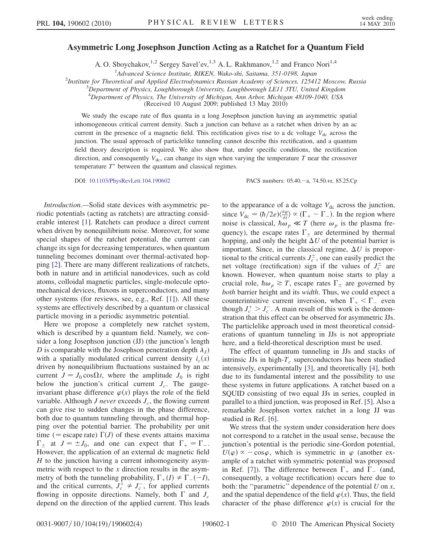## Asymmetric Long Josephson Junction Acting as a Ratchet for a Quantum Field

A. O. Sboychakov, <sup>1,2</sup> Sergey Savel'ev, <sup>1,3</sup> A. L. Rakhmanov, <sup>1,2</sup> and Franco Nori<sup>1,4</sup>

<sup>1</sup> Advanced Science Institute, RIKEN, Wako-shi, Saitama, 351-0198, Japan<br><sup>2</sup>Institute for Theoretical and Applied Electrodynamics Pussian Academy of Sciences, 19541

<sup>2</sup>Institute for Theoretical and Applied Electrodynamics Russian Academy of Sciences, 125412 Moscow, Russia

 ${}^{3}$ Department of Physics, Loughborough University, Loughborough LE11 3TU, United Kingdom

<sup>4</sup>Department of Physics, The University of Michigan, Ann Arbor, Michigan 48109-1040, USA

(Received 10 August 2009; published 13 May 2010)

We study the escape rate of flux quanta in a long Josephson junction having an asymmetric spatial inhomogeneous critical current density. Such a junction can behave as a ratchet when driven by an ac current in the presence of a magnetic field. This rectification gives rise to a dc voltage  $V_{\text{dc}}$  across the junction. The usual approach of particlelike tunneling cannot describe this rectification, and a quantum field theory description is required. We also show that, under specific conditions, the rectification direction, and consequently  $V_{dc}$ , can change its sign when varying the temperature T near the crossover temperature  $T^*$  between the quantum and classical regimes.

DOI: [10.1103/PhysRevLett.104.190602](http://dx.doi.org/10.1103/PhysRevLett.104.190602)

PACS numbers:  $05.40 - a$ ,  $74.50 + r$ ,  $85.25.Cp$ 

Introduction.—Solid state devices with asymmetric periodic potentials (acting as ratchets) are attracting considerable interest [[1](#page-3-0)]. Ratchets can produce a direct current when driven by nonequilibrium noise. Moreover, for some special shapes of the ratchet potential, the current can change its sign for decreasing temperatures, when quantum tunneling becomes dominant over thermal-activated hopping [[2](#page-3-1)]. There are many different realizations of ratchets, both in nature and in artificial nanodevices, such as cold atoms, colloidal magnetic particles, single-molecule optomechanical devices, fluxons in superconductors, and many other systems (for reviews, see, e.g., Ref. [\[1\]](#page-3-0)). All these systems are effectively described by a quantum or classical particle moving in a periodic asymmetric potential.

Here we propose a completely new ratchet system, which is described by a quantum field. Namely, we consider a long Josephson junction (JJ) (the junction's length D is comparable with the Josephson penetration depth  $\lambda_I$ ) with a spatially modulated critical current density  $i_c(x)$ driven by nonequilibrium fluctuations sustained by an ac current  $J = J_0 \cos{\Omega t}$ , where the amplitude  $J_0$  is right below the junction's critical current  $J_c$ . The gaugeinvariant phase difference  $\varphi(x)$  plays the role of the field variable. Although *J never* exceeds  $J_c$ , the flowing current can give rise to sudden changes in the phase difference, both due to quantum tunneling through, and thermal hopping over the potential barrier. The probability per unit time (= escape rate)  $\Gamma(J)$  of these events attains maxima<br> $\Gamma_{j}$  at  $J = \pm I_0$  and one can expect that  $\Gamma_{j} = \Gamma$  $\Gamma_{\pm}$  at  $J = \pm J_0$ , and one can expect that  $\Gamma_{+} = \Gamma_{-}$ .<br>However the application of an external dc magnetic field -However, the application of an external dc magnetic field  $H$  to the junction having a current inhomogeneity asymmetric with respect to the x direction results in the asymmetry of both the tunneling probability,  $\Gamma_+(I) \neq \Gamma_-(I)$ ,<br>and the critical currents  $I^+ \neq I^-$  for annual currents and the critical currents,  $J_c^+ \neq J_c^-$ , for applied currents flowing in opposite directions. Namely, both  $\Gamma$  and  $J_c$ depend on the direction of the applied current. This leads to the appearance of a dc voltage  $V_{dc}$  across the junction, since  $V_{\text{dc}} = (\hbar/2e)\frac{\partial \varphi}{\partial t} \propto (\Gamma_+ - \Gamma_-)$ . In the region where poise is classical,  $\hbar \omega_p \ll T$  (here  $\omega_p$  is the plasma fre-<br>quency), the escape rates  $\Gamma$  are determined by thermal quency), the escape rates  $\Gamma_{\pm}$  are determined by thermal<br>hopping and only the height  $\Lambda U$  of the potential barrier is hopping, and only the height  $\Delta U$  of the potential barrier is important. Since, in the classical regime,  $\Delta U$  is proportional to the critical currents  $J_c^{\pm}$ , one can easily predict the net voltage (rectification) sign if the values of  $J_c^{\pm}$  are known. However, when quantum noise starts to play a crucial role,  $\hbar \omega_p \gtrsim T$ , escape rates  $\Gamma_{\pm}$  are governed by both barrier height and its width. Thus, we could expect a counterintuitive current inversion, when  $\Gamma_+ < \Gamma_-$  even<br>though  $I^+ > I^-$  A main result of this work is the demonthough  $J_c^+ > J_c^-$ . A main result of this work is the demonstration that this effect can be observed for asymmetric JJs. The particlelike approach used in most theoretical considerations of quantum tunneling in JJs is not appropriate here, and a field-theoretical description must be used.

The effect of quantum tunneling in JJs and stacks of intrinsic JJs in high- $T_c$  superconductors has been studied intensively, experimentally [\[3](#page-3-2)], and theoretically [\[4](#page-3-3)], both due to its fundamental interest and the possibility to use these systems in future applications. A ratchet based on a SQUID consisting of two equal JJs in series, coupled in parallel to a third junction, was proposed in Ref. [[5](#page-3-4)]. Also a remarkable Josephson vortex ratchet in a long JJ was studied in Ref. [[6\]](#page-3-5).

We stress that the system under consideration here does not correspond to a ratchet in the usual sense, because the junction's potential is the periodic sine-Gordon potential,  $U(\varphi) \propto -\cos\varphi$ , which is symmetric in  $\varphi$  (another ex-<br>ample of a ratchet with symmetric potential was proposed ample of a ratchet with symmetric potential was proposed in Ref. [\[7\]](#page-3-6)). The difference between  $\Gamma_+$  and  $\Gamma_-$  (and, -consequently, a voltage rectification) occurs here due to both: the "parametric" dependence of the potential  $U$  on  $x$ , and the spatial dependence of the field  $\varphi(x)$ . Thus, the field character of the phase difference  $\varphi(x)$  is crucial for the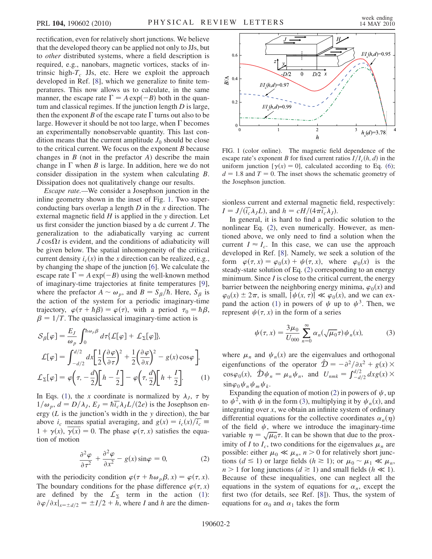rectification, even for relatively short junctions. We believe that the developed theory can be applied not only to JJs, but to other distributed systems, where a field description is required, e.g., nanobars, magnetic vortices, stacks of intrinsic high- $T_c$  JJs, etc. Here we exploit the approach developed in Ref. [[8\]](#page-3-7), which we generalize to finite temperatures. This now allows us to calculate, in the same manner, the escape rate  $\Gamma = A \exp(-B)$  both in the quan-<br>turn and classical regimes. If the junction length D is large tum and classical regimes. If the junction length D is large, then the exponent B of the escape rate  $\Gamma$  turns out also to be large. However it should be not too large, when  $\Gamma$  becomes an experimentally nonobservable quantity. This last condition means that the current amplitude  $J_0$  should be close to the critical current. We focus on the exponent B because changes in  $B$  (not in the prefactor  $A$ ) describe the main change in  $\Gamma$  when  $B$  is large. In addition, here we do not consider dissipation in the system when calculating B. Dissipation does not qualitatively change our results.

Escape rate.—We consider a Josephson junction in the inline geometry shown in the inset of Fig. [1.](#page-1-0) Two superconducting bars overlap a length  $D$  in the  $x$  direction. The external magnetic field  $H$  is applied in the y direction. Let us first consider the junction biased by a dc current J. The generalization to the adiabatically varying ac current  $J \cos\Omega t$  is evident, and the conditions of adiabaticity will be given below. The spatial inhomogeneity of the critical current density  $i_c(x)$  in the x direction can be realized, e.g., by changing the shape of the junction [\[6](#page-3-5)]. We calculate the escape rate  $\Gamma = A \exp(-B)$  using the well-known method<br>of imaginary-time trajectories at finite temperatures [9] of imaginary-time trajectories at finite temperatures [[9\]](#page-3-8), where the prefactor  $A \sim \omega_p$ , and  $B = S_\beta/\hbar$ . Here,  $S_\beta$  is<br>the action of the system for a periodic imaginary-time the action of the system for a periodic imaginary-time trajectory,  $\varphi(\tau + \hbar \beta) = \varphi(\tau)$ , with a period  $\tau_0 = \hbar \beta$ ,<br>  $\beta = 1/T$  The quasiclassical imaginary-time action is  $\beta = 1/T$ . The quasiclassical imaginary-time action is

<span id="page-1-1"></span>
$$
S_{\beta}[\varphi] = \frac{E_J}{\omega_p} \int_0^{\hbar \omega_p \beta} d\tau \{ \mathcal{L}[\varphi] + \mathcal{L}_{\Sigma}[\varphi] \},
$$
  

$$
\mathcal{L}[\varphi] = \int_{-d/2}^{d/2} dx \left[ \frac{1}{2} \left( \frac{\partial \varphi}{\partial \tau} \right)^2 + \frac{1}{2} \left( \frac{\partial \varphi}{\partial x} \right)^2 - g(x) \cos \varphi \right],
$$
  

$$
\mathcal{L}_{\Sigma}[\varphi] = \varphi \left( \tau, -\frac{d}{2} \right) \left[ h - \frac{I}{2} \right] - \varphi \left( \tau, \frac{d}{2} \right) \left[ h + \frac{I}{2} \right].
$$
 (1)

In Eqs. [\(1](#page-1-1)), the x coordinate is normalized by  $\lambda_j$ ,  $\tau$  by  $1/\omega_p$ ,  $d = D/\lambda_J$ ,  $E_J = \hbar \overline{i_c} \lambda_J L/(2e)$  is the Josephson energy  $(L$  is the junction's width in the y direction), the bar above  $i_c$  means spatial averaging, and  $g(x) = i_c(x)/i_c$  $1 + \gamma(x)$ ,  $\gamma(x) = 0$ . The phase  $\varphi(\tau, x)$  satisfies the equation of motion

$$
\frac{\partial^2 \varphi}{\partial \tau^2} + \frac{\partial^2 \varphi}{\partial x^2} - g(x) \sin \varphi = 0, \tag{2}
$$

<span id="page-1-2"></span>with the periodicity condition  $\varphi(\tau + \hbar \omega_p \beta, x) = \varphi(\tau, x)$ .<br>The boundary conditions for the phase difference  $\varphi(\tau, x)$ . The boundary conditions for the phase difference  $\varphi(\tau, x)$ are defined by the  $\mathcal{L}_{\Sigma}$  term in the action [\(1\)](#page-1-1):  $\partial \varphi / \partial x |_{x=\pm d/2} = \pm I/2 + h$ , where I and h are the dimen-

<span id="page-1-0"></span>

FIG. 1 (color online). The magnetic field dependence of the escape rate's exponent B for fixed current ratios  $I/I_c(h, d)$  in the uniform junction  $[\gamma(x) = 0]$ , calculated according to Eq. ([6](#page-2-0));  $d = 1.8$  and  $T = 0$ . The inset shows the schematic geometry of the Josephson junction.

sionless current and external magnetic field, respectively:  $I = J/(\overline{i_c}\lambda_I L)$ , and  $h = cH/(4\pi\overline{i_c}\lambda_I)$ .

In general, it is hard to find a periodic solution to the nonlinear Eq. [\(2](#page-1-2)), even numerically. However, as mentioned above, we only need to find a solution when the current  $I \approx I_c$ . In this case, we can use the approach developed in Ref. [[8](#page-3-7)]. Namely, we seek a solution of the form  $\varphi(\tau, x) = \varphi_0(x) + \psi(\tau, x)$ , where  $\varphi_0(x)$  is the steady-state solution of Eq. ([2](#page-1-2)) corresponding to an energy minimum. Since  $I$  is close to the critical current, the energy barrier between the neighboring energy minima,  $\varphi_0(x)$  and  $\varphi_0(x) \pm 2\pi$ , is small,  $|\psi(x, \tau)| \ll \varphi_0(x)$ , and we can ex-pand the action [\(1\)](#page-1-1) in powers of  $\psi$  up to  $\psi^3$ . Then, we represent  $\psi(\tau, x)$  in the form of a series

<span id="page-1-3"></span>
$$
\psi(\tau, x) = \frac{3\mu_0}{U_{000}} \sum_{n=0}^{\infty} \alpha_n(\sqrt{\mu_0} \tau) \psi_n(x), \tag{3}
$$

where  $\mu_n$  and  $\psi_n(x)$  are the eigenvalues and orthogonal eigenfunctions of the operator  $\hat{\mathcal{D}} = -\frac{\partial^2}{\partial x^2} + g(x) \times$  $\cos\varphi_0(x)$ ,  $\hat{\mathcal{D}}\psi_n = \mu_n \psi_n$ , and  $U_{nmk} = \int_{-d/2}^{d/2} dx g(x) \times$  $\sin\varphi_0\psi_n\psi_m\psi_k$ .

Expanding the equation of motion [\(2](#page-1-2)) in powers of  $\psi$ , up to  $\psi^2$ , with  $\psi$  in the form ([3](#page-1-3)), multiplying it by  $\psi_n(x)$ , and integrating over  $x$ , we obtain an infinite system of ordinary differential equations for the collective coordinates  $\alpha_n(\eta)$ of the field  $\psi$ , where we introduce the imaginary-time variable  $\eta = \sqrt{\mu_0} \tau$ . It can be shown that due to the prox-<br>imity of I to I two conditions for the eigenvalues  $\mu$  are imity of I to  $I_c$ , two conditions for the eigenvalues  $\mu_n$  are possible: either  $\mu_0 \ll \mu_n$ ,  $n > 0$  for relatively short junctions ( $d \le 1$ ) or large fields ( $h \ge 1$ ); or  $\mu_0 \sim \mu_1 \ll \mu_n$ ,  $n > 1$  for long junctions ( $d \ge 1$ ) and small fields ( $h \ll 1$ ). Because of these inequalities, one can neglect all the equations in the system of equations for  $\alpha_n$ , except the first two (for details, see Ref. [[8\]](#page-3-7)). Thus, the system of equations for  $\alpha_0$  and  $\alpha_1$  takes the form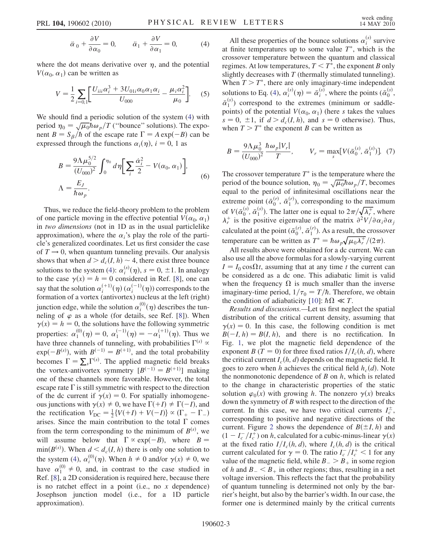$$
\ddot{\alpha}_0 + \frac{\partial V}{\partial \alpha_0} = 0, \qquad \ddot{\alpha}_1 + \frac{\partial V}{\partial \alpha_1} = 0,
$$
 (4)

<span id="page-2-1"></span>where the dot means derivative over  $\eta$ , and the potential  $V(\alpha_0, \alpha_1)$  can be written as

$$
V = \frac{1}{2} \sum_{i=0,1} \left[ \frac{U_{ii1} \alpha_i^3 + 3U_{01i} \alpha_0 \alpha_1 \alpha_i}{U_{000}} - \frac{\mu_i \alpha_i^2}{\mu_0} \right].
$$
 (5)

<span id="page-2-0"></span>We should find a periodic solution of the system [\(4\)](#page-2-1) with period  $\eta_0 = \sqrt{\mu_0} \hbar \omega_p / T$  ("bounce" solutions). The expo-<br>pent  $B = S$ , (b of the escape rate  $\Gamma = A \exp(-B)$  can be nent  $B = S_\beta / \hbar$  of the escape rate  $\Gamma = A \exp(-B)$  can be<br>expressed through the functions  $\alpha_n(n)$   $i = 0, 1, 3s$ expressed through the functions  $\alpha_i(\eta)$ ,  $i = 0, 1$  as

$$
B = \frac{9\Lambda\mu_0^{5/2}}{(U_{000})^2} \int_0^{\eta_0} d\eta \bigg[\sum_i \frac{\dot{\alpha}_i^2}{2} - V(\alpha_0, \alpha_1)\bigg],
$$
  

$$
\Lambda = \frac{E_J}{\hbar \omega_p}.
$$
 (6)

Thus, we reduce the field-theory problem to the problem of one particle moving in the effective potential  $V(\alpha_0, \alpha_1)$ in two dimensions (not in 1D as in the usual particlelike approximation), where the  $\alpha_i$ 's play the role of the particle's generalized coordinates. Let us first consider the case of  $T \rightarrow 0$ , when quantum tunneling prevails. Our analysis shows that when  $d > d_c(I, h) \sim 4$ , there exist three bounce solutions to the system [\(4](#page-2-1)):  $\alpha_i^{(s)}(\eta)$ ,  $s = 0, \pm 1$ . In analogy<br>to the case  $\gamma(x) = b = 0$  considered in Ref. [8], one can to the case  $\gamma(x) = h = 0$  considered in Ref. [\[8](#page-3-7)], one can say that the solution  $\alpha_i^{(+1)}(\eta)$   $(\alpha_i^{(-1)}(\eta))$  corresponds to the formation of a vortex (antivortex) nucleus at the left (right) formation of a vortex (antivortex) nucleus at the left (right) junction edge, while the solution  $\alpha_i^{(0)}(\eta)$  describes the tun-<br>neling of  $\phi$  as a whole (for details, see Ref. [8]). When neling of  $\varphi$  as a whole (for details, see Ref. [\[8](#page-3-7)]). When  $\gamma(x) = h = 0$ , the solutions have the following symmetric properties:  $\alpha_1^{(0)}(\eta) = 0$ ,  $\alpha_1^{(-1)}(\eta) = -\alpha_1^{(+1)}(\eta)$ . Thus we have three channels of tunneling, with probabilities  $\Gamma^{(s)} \propto$ <br>exp $(-R^{(s)})$ , with  $R^{(-1)} = R^{(+1)}$  and the total probability  $\exp(-B^{(s)})$ , with  $B^{(-1)} = B^{(+1)}$ , and the total probability<br>becomes  $\Gamma = \sum \Gamma^{(s)}$ . The applied magnetic field breaks becomes  $\Gamma = \sum_{s} \Gamma^{(s)}$ . The applied magnetic field breaks<br>the vortex-antivortex symmetry  $[R^{(-1)}] = R^{(+1)}$  making the vortex-antivortex symmetry  $[B^{(-1)}] = B^{(+1)}$  making<br>one of these channels more favorable. However, the total one of these channels more favorable. However, the total escape rate  $\Gamma$  is still symmetric with respect to the direction of the dc current if  $\gamma(x) = 0$ . For spatially inhomogeneous junctions with  $\gamma(x) \neq 0$ , we have  $\Gamma(+I) \neq \Gamma(-I)$ , and<br>the rectification  $V_{\text{DQ}} = \frac{1}{2} V(I+I) + V(-I)\alpha(X[\Gamma] - \Gamma)$ the rectification  $V_{\text{DC}} = \frac{1}{2} \{V(+I) + V(-I)\} \propto (\Gamma_+ - \Gamma_+^2)$ arises. Since the main contribution to the total  $\Gamma$  comes from the term corresponding to the minimum of  $B^{(s)}$ , we will assume below that  $\Gamma \propto \exp(-B)$ , where  $B = \min(B^{(s)})$ . When  $d < d$  (*I* b) there is only one solution to  $\min(B^{(s)})$ . When  $d \leq d_c(I, h)$  there is only one solution to min( $B^{(s)}$ ). When  $d < d_c(I, h)$  there is only one solution to<br>the system ([4\)](#page-2-1),  $\alpha_i^{(0)}(\eta)$ . When  $h \neq 0$  and/or  $\gamma(x) \neq 0$ , we have  $\alpha_1^{(0)} \neq 0$ , and, in contrast to the case studied in Ref. [[8\]](#page-3-7), a 2D consideration is required here, because there is no ratchet effect in a point (i.e., no  $x$  dependence) Josephson junction model (i.e., for a 1D particle approximation).

All these properties of the bounce solutions  $\alpha_i^{(s)}$  survive at finite temperatures up to some value  $T^*$ , which is the crossover temperature between the quantum and classical regimes. At low temperatures,  $T < T^*$ , the exponent B only slightly decreases with  $T$  (thermally stimulated tunneling). When  $T>T^*$ , there are only imaginary-time independent solutions to Eq. ([4\)](#page-2-1),  $\alpha_i^{(s)}(\eta) = \bar{\alpha}_i^{(s)}$ , where the points  $(\bar{\alpha}_0^{(s)})$  $\bar{\alpha}_1^{(s)}$ ) correspond to the extremes (minimum or saddlepoints) of the potential  $V(\alpha_0, \alpha_1)$  (here s takes the values  $s = 0, \pm 1$ , if  $d > d_c(I, h)$ , and  $s = 0$  otherwise). Thus, when  $T>T^*$  the exponent B can be written as

$$
B = \frac{9\Lambda\mu_0^3}{(U_{000})^2} \frac{\hbar\omega_p |V_r|}{T}, \qquad V_r = \max_s [V(\bar{\alpha}_0^{(s)}, \bar{\alpha}_1^{(s)})]. \tag{7}
$$

The crossover temperature  $T^*$  is the temperature where the period of the bounce solution,  $\eta_0 = \sqrt{\mu_0} \hbar \omega_p / T$ , becomes equal to the period of infinitesimal oscillations near the extreme point  $(\bar{\alpha}_0^{(r)}, \bar{\alpha}_1^{(r)})$ , corresponding to the maximum of  $V(\bar{\alpha}_0^{(s)}, \bar{\alpha}_1^{(s)})$ . The latter one is equal to  $2\pi/\sqrt{\lambda_r^+}$ , where  $\lambda^+$  is the positive eigenvalue of the matrix  $\partial^2 V/\partial \alpha_i \partial \alpha_j$  $\lambda_r^+$  is the positive eigenvalue of the matrix  $\partial^2 V / \partial \alpha_i \partial \alpha_j$ calculated at the point  $(\bar{\alpha}_0^{(r)}, \bar{\alpha}_1^{(r)})$ . As a result, the crossover temperature can be written as  $T^* = \hbar \omega_p \sqrt{\mu_0 \lambda_r^+}/(2\pi)$ .<br>All results above were obtained for a dc current. We

All results above were obtained for a dc current. We can also use all the above formulas for a slowly-varying current  $I = I_0 \cos{\Omega t}$ , assuming that at any time t the current can be considered as a dc one. This adiabatic limit is valid when the frequency  $\Omega$  is much smaller than the inverse imaginary-time period,  $1/\tau_0 = T/\hbar$ . Therefore, we obtain the condition of adiabaticity [[10](#page-3-9)]:  $\hbar \Omega \ll T$ .

Results and discussions.—Let us first neglect the spatial distribution of the critical current density, assuming that  $\gamma(x) = 0$ . In this case, the following condition is met  $B(-I, h) = B(I, h)$ , and there is no rectification. In<br>Fig. 1, we plot the magnetic field dependence of the Fig. [1](#page-1-0), we plot the magnetic field dependence of the exponent B (T = 0) for three fixed ratios  $I/I_c(h, d)$ , where the critical current  $I_c(h, d)$  depends on the magnetic field. It goes to zero when h achieves the critical field  $h_c(d)$ . Note the nonmonotonic dependence of  $B$  on  $h$ , which is related to the change in characteristic properties of the static solution  $\varphi_0(x)$  with growing h. The nonzero  $\gamma(x)$  breaks down the symmetry of B with respect to the direction of the current. In this case, we have two critical currents  $I_c^{\pm}$ , corresponding to positive and negative directions of the current. Figure [2](#page-3-10) shows the dependence of  $B(\pm I, h)$  and  $(1 - I_c^- / I_c^+)$  on h, calculated for a cubic-minus-linear  $\gamma(x)$ <br>at the fixed ratio  $I/I$  (h d) where  $I(h,d)$  is the critical at the fixed ratio  $I/I_c(h, d)$ , where  $I_c(h, d)$  is the critical current calculated for  $\gamma = 0$ . The ratio  $I_c^- / I_c^+ < 1$  for any value of the magnetic field while  $R > R_c$  in some region value of the magnetic field, while  $B = \geq B_+$  in some region<br>of h and  $B \leq B_-$  in other regions; thus, resulting in a net of h and  $B_{-} < B_{+}$  in other regions; thus, resulting in a net<br>voltage inversion. This reflects the fact that the probability voltage inversion. This reflects the fact that the probability of quantum tunneling is determined not only by the barrier's height, but also by the barrier's width. In our case, the former one is determined mainly by the critical currents